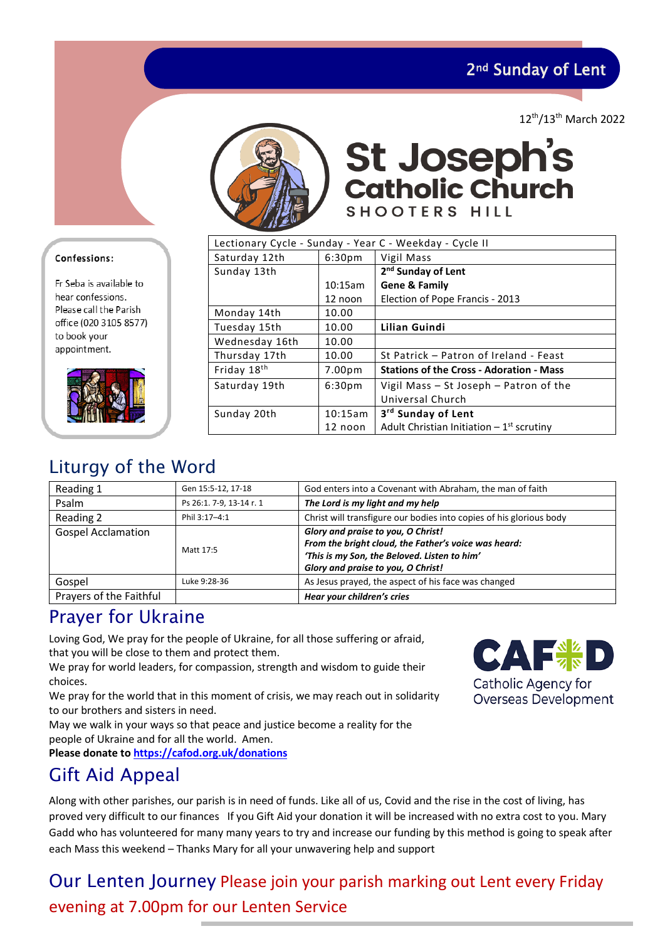2nd Sunday of Lent

12th/13th March 2022



**St Joseph's<br>Catholic Church** SHOOTERS HILL

| Lectionary Cycle - Sunday - Year C - Weekday - Cycle II |                    |                                                 |  |  |
|---------------------------------------------------------|--------------------|-------------------------------------------------|--|--|
| Saturday 12th                                           | 6:30 <sub>pm</sub> | Vigil Mass                                      |  |  |
| Sunday 13th                                             |                    | 2 <sup>nd</sup> Sunday of Lent                  |  |  |
|                                                         | 10:15am            | <b>Gene &amp; Family</b>                        |  |  |
|                                                         | 12 noon            | Election of Pope Francis - 2013                 |  |  |
| Monday 14th                                             | 10.00              |                                                 |  |  |
| Tuesday 15th                                            | 10.00              | Lilian Guindi                                   |  |  |
| Wednesday 16th                                          | 10.00              |                                                 |  |  |
| Thursday 17th                                           | 10.00              | St Patrick - Patron of Ireland - Feast          |  |  |
| Friday 18 <sup>th</sup>                                 | 7.00 <sub>pm</sub> | <b>Stations of the Cross - Adoration - Mass</b> |  |  |
| Saturday 19th                                           | 6:30 <sub>pm</sub> | Vigil Mass - St Joseph - Patron of the          |  |  |
|                                                         |                    | Universal Church                                |  |  |
| Sunday 20th                                             | 10:15am            | 3 <sup>rd</sup> Sunday of Lent                  |  |  |
|                                                         | 12 noon            | Adult Christian Initiation $-1^{st}$ scrutiny   |  |  |

### Liturgy of the Word

| Reading 1                 | Gen 15:5-12, 17-18       | God enters into a Covenant with Abraham, the man of faith                                                                                                                        |
|---------------------------|--------------------------|----------------------------------------------------------------------------------------------------------------------------------------------------------------------------------|
| Psalm                     | Ps 26:1. 7-9, 13-14 r. 1 | The Lord is my light and my help                                                                                                                                                 |
| Reading 2                 | Phil 3:17-4:1            | Christ will transfigure our bodies into copies of his glorious body                                                                                                              |
| <b>Gospel Acclamation</b> | Matt 17:5                | Glory and praise to you, O Christ!<br>From the bright cloud, the Father's voice was heard:<br>'This is my Son, the Beloved. Listen to him'<br>Glory and praise to you, O Christ! |
| Gospel                    | Luke 9:28-36             | As Jesus prayed, the aspect of his face was changed                                                                                                                              |
| Prayers of the Faithful   |                          | Hear your children's cries                                                                                                                                                       |

### Prayer for Ukraine

Loving God, We pray for the people of Ukraine, for all those suffering or afraid, that you will be close to them and protect them.

We pray for world leaders, for compassion, strength and wisdom to guide their choices.

We pray for the world that in this moment of crisis, we may reach out in solidarity to our brothers and sisters in need.

May we walk in your ways so that peace and justice become a reality for the people of Ukraine and for all the world. Amen.

**Please donate t[o https://cafod.org.uk/donations](https://cafod.org.uk/donations/picker?defaultuniversaltype=single&_Appeal=123770)**

### Gift Aid Appeal

Along with other parishes, our parish is in need of funds. Like all of us, Covid and the rise in the cost of living, has proved very difficult to our finances If you Gift Aid your donation it will be increased with no extra cost to you. Mary Gadd who has volunteered for many many years to try and increase our funding by this method is going to speak after each Mass this weekend – Thanks Mary for all your unwavering help and support

Our Lenten Journey Please join your parish marking out Lent every Friday evening at 7.00pm for our Lenten Service



### Confessions:

Fr Seba is available to hear confessions. Please call the Parish office (020 3105 8577) to book your appointment.

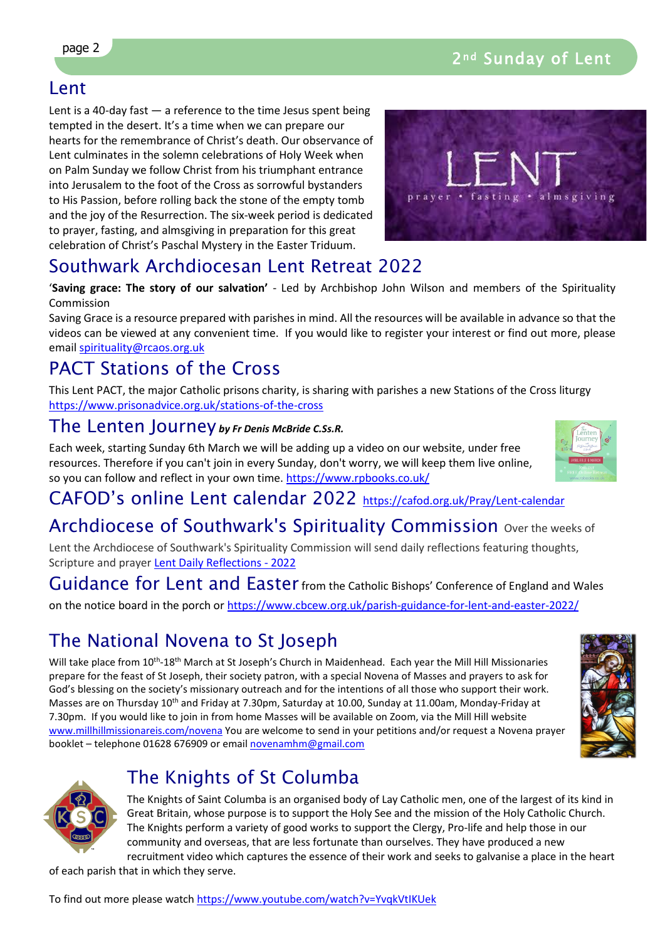### Lent

Lent is a 40-day fast  $-$  a reference to the time Jesus spent being tempted in the desert. It's a time when we can prepare our hearts for the remembrance of Christ's death. Our observance of Lent culminates in the solemn celebrations of Holy Week when on Palm Sunday we follow Christ from his triumphant entrance into Jerusalem to the foot of the Cross as sorrowful bystanders to His Passion, before rolling back the stone of the empty tomb and the joy of the Resurrection. The six-week period is dedicated to prayer, fasting, and almsgiving in preparation for this great celebration of Christ's Paschal Mystery in the Easter Triduum.



### Southwark Archdiocesan Lent Retreat 2022

'**Saving grace: The story of our salvation'** - Led by Archbishop John Wilson and members of the Spirituality Commission

Saving Grace is a resource prepared with parishes in mind. All the resources will be available in advance so that the videos can be viewed at any convenient time. If you would like to register your interest or find out more, please email [spirituality@rcaos.org.uk](mailto:spirituality@rcaos.org.uk) 

# PACT Stations of the Cross

This Lent PACT, the major Catholic prisons charity, is sharing with parishes a new Stations of the Cross liturgy <https://www.prisonadvice.org.uk/stations-of-the-cross>

### The Lenten Journey *by Fr Denis McBride C.Ss.R.*

Each week, starting Sunday 6th March we will be adding up a video on our website, under free resources. Therefore if you can't join in every Sunday, don't worry, we will keep them live online, so you can follow and reflect in your own time.<https://www.rpbooks.co.uk/>

### CAFOD's online Lent calendar 2022 <https://cafod.org.uk/Pray/Lent-calendar>

# Archdiocese of Southwark's Spirituality Commission over the weeks of

Lent the Archdiocese of Southwark's Spirituality Commission will send daily reflections featuring thoughts, Scripture and prayer [Lent Daily Reflections - 2022](file://dcserver/mary/ST%20JOSEPH/NEWSLETTER/.%20%C2%A0https:/southwarkdsc.us11.list-manage.com/subscribe?u=a3e1dce7f8f666e9d64edd867&id=4f880b3b9c)

Guidance for Lent and Easter from the Catholic Bishops' Conference of England and Wales on the notice board in the porch or<https://www.cbcew.org.uk/parish-guidance-for-lent-and-easter-2022/>

# The National Novena to St Joseph

Will take place from 10<sup>th</sup>-18<sup>th</sup> March at St Joseph's Church in Maidenhead. Each year the Mill Hill Missionaries prepare for the feast of St Joseph, their society patron, with a special Novena of Masses and prayers to ask for God's blessing on the society's missionary outreach and for the intentions of all those who support their work. Masses are on Thursday 10<sup>th</sup> and Friday at 7.30pm, Saturday at 10.00, Sunday at 11.00am, Monday-Friday at 7.30pm. If you would like to join in from home Masses will be available on Zoom, via the Mill Hill website [www.millhillmissionareis.com/novena](http://www.millhillmissionareis.com/novena) You are welcome to send in your petitions and/or request a Novena prayer booklet – telephone 01628 676909 or email [novenamhm@gmail.com](mailto:novenamhm@gmail.com)





# The Knights of St Columba

The Knights of Saint Columba is an organised body of Lay Catholic men, one of the largest of its kind in Great Britain, whose purpose is to support the Holy See and the mission of the Holy Catholic Church. The Knights perform a variety of good works to support the Clergy, Pro-life and help those in our community and overseas, that are less fortunate than ourselves. They have produced a new recruitment video which captures the essence of their work and seeks to galvanise a place in the heart

of each parish that in which they serve.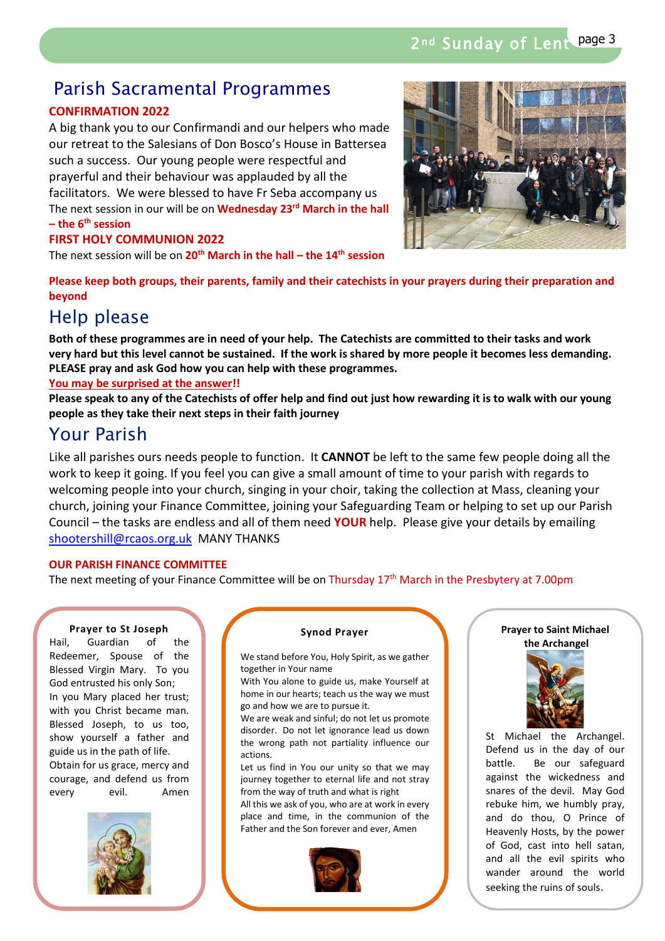### Parish Sacramental Programmes

#### **CONFIRMATION 2022**

A big thank you to our Confirmandi and our helpers who made our retreat to the Salesians of Don Bosco's House in Battersea such a success. Our young people were respectful and prayerful and their behaviour was applauded by all the facilitators. We were blessed to have Fr Seba accompany us The next session in our will be on **Wednesday 23rd March in the hall – the 6th session**

#### **FIRST HOLY COMMUNION 2022**

The next session will be on **20th March in the hall – the 14th session**



**Please keep both groups, their parents, family and their catechists in your prayers during their preparation and beyond**

### Help please

**Both of these programmes are in need of your help. The Catechists are committed to their tasks and work very hard but this level cannot be sustained. If the work is shared by more people it becomes less demanding. PLEASE pray and ask God how you can help with these programmes.** 

#### **You may be surprised at the answer!!**

**Please speak to any of the Catechists of offer help and find out just how rewarding it is to walk with our young people as they take their next steps in their faith journey**

### Your Parish

Like all parishes ours needs people to function. It **CANNOT** be left to the same few people doing all the work to keep it going. If you feel you can give a small amount of time to your parish with regards to welcoming people into your church, singing in your choir, taking the collection at Mass, cleaning your church, joining your Finance Committee, joining your Safeguarding Team or helping to set up our Parish Council – the tasks are endless and all of them need **YOUR** help. Please give your details by emailing [shootershill@rcaos.org.uk](mailto:shootershill@rcaos.org.uk) MANY THANKS

#### **OUR PARISH FINANCE COMMITTEE**

The next meeting of your Finance Committee will be on Thursday 17<sup>th</sup> March in the Presbytery at 7.00pm

#### **Prayer to St Joseph**

Hail, Guardian of the Redeemer, Spouse of the Blessed Virgin Mary. To you God entrusted his only Son; In you Mary placed her trust; with you Christ became man. Blessed Joseph, to us too, show yourself a father and guide us in the path of life. Obtain for us grace, mercy and courage, and defend us from every evil. Amen



#### **Synod Prayer**

We stand before You, Holy Spirit, as we gather together in Your name

With You alone to guide us, make Yourself at home in our hearts; teach us the way we must go and how we are to pursue it.

We are weak and sinful; do not let us promote disorder. Do not let ignorance lead us down the wrong path not partiality influence our actions.

Let us find in You our unity so that we may journey together to eternal life and not stray from the way of truth and what is right

All this we ask of you, who are at work in every place and time, in the communion of the Father and the Son forever and ever, Amen



#### **Prayer to Saint Michael the Archangel**



St Michael the Archangel. Defend us in the day of our battle. Be our safeguard against the wickedness and snares of the devil. May God rebuke him, we humbly pray, and do thou, O Prince of Heavenly Hosts, by the power of God, cast into hell satan, and all the evil spirits who wander around the world seeking the ruins of souls.